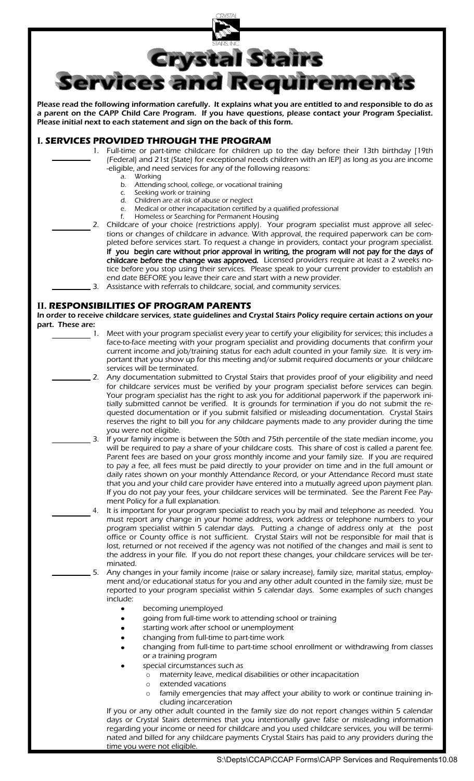

Please read the following information carefully. It explains what you are entitled to and responsible to do as a parent on the CAPP Child Care Program. If you have questions, please contact your Program Specialist. Please initial next to each statement and sign on the back of this form.

## **I. SERVICES PROVIDED THROUGH THE PROGRAM**

- 1. Full-time or part-time childcare for children up to the day before their 13th birthday [19th (Federal) and 21st (State) for exceptional needs children with an IEP] as long as you are income -eligible, and need services for any of the following reasons:
	- a. Working
	- b. Attending school, college, or vocational training
	- c. Seeking work or training<br>d. Children are at risk of abu
	- d. Children are at risk of abuse or neglect
	- e. Medical or other incapacitation certified by a qualified professional
- f. Homeless or Searching for Permanent Housing 2. Childcare of your choice (restrictions apply). Your program specialist must approve all selections or changes of childcare in advance. With approval, the required paperwork can be completed before services start. To request a change in providers, contact your program specialist. If you begin care without prior approval in writing, the program will not pay for the days of childcare before the change was approved. Licensed providers require at least a 2 weeks notice before you stop using their services. Please speak to your current provider to establish an end date BEFORE you leave their care and start with a new provider. 3. Assistance with referrals to childcare, social, and community services.
	-

## **II. RESPONSIBILITIES OF PROGRAM PARENTS**

In order to receive childcare services, state guidelines and Crystal Stairs Policy require certain actions on your **part. These are:**<br>1.

- Meet with your program specialist every year to certify your eligibility for services; this includes a face-to-face meeting with your program specialist and providing documents that confirm your current income and job/training status for each adult counted in your family size. It is very important that you show up for this meeting and/or submit required documents or your childcare services will be terminated.
- 2. Any documentation submitted to Crystal Stairs that provides proof of your eligibility and need for childcare services must be verified by your program specialist before services can begin. Your program specialist has the right to ask you for additional paperwork if the paperwork initially submitted cannot be verified. It is grounds for termination if you do not submit the requested documentation or if you submit falsified or misleading documentation. Crystal Stairs reserves the right to bill you for any childcare payments made to any provider during the time you were not eligible.
- 3. If your family income is between the 50th and 75th percentile of the state median income, you will be required to pay a share of your childcare costs. This share of cost is called a parent fee. Parent fees are based on your gross monthly income and your family size. If you are required to pay a fee, all fees must be paid directly to your provider on time and in the full amount or daily rates shown on your monthly Attendance Record, or your Attendance Record must state that you and your child care provider have entered into a mutually agreed upon payment plan. If you do not pay your fees, your childcare services will be terminated. See the Parent Fee Payment Policy for a full explanation.
	- 4. It is important for your program specialist to reach you by mail and telephone as needed. You must report any change in your home address, work address or telephone numbers to your program specialist within 5 calendar days. Putting a change of address only at the post office or County office is not sufficient. Crystal Stairs will not be responsible for mail that is lost, returned or not received if the agency was not notified of the changes and mail is sent to the address in your file. If you do not report these changes, your childcare services will be terminated.
	- 5. Any changes in your family income (raise or salary increase), family size, marital status, employment and/or educational status for you and any other adult counted in the family size, must be reported to your program specialist within 5 calendar days. Some examples of such changes include:
		- becoming unemployed
		- going from full-time work to attending school or training
		- starting work after school or unemployment
		- changing from full-time to part-time work
		- changing from full-time to part-time school enrollment or withdrawing from classes or a training program
		- special circumstances such as
			- o maternity leave, medical disabilities or other incapacitation
			- o extended vacations
			- o family emergencies that may affect your ability to work or continue training including incarceration

If you or any other adult counted in the family size do not report changes within 5 calendar days or Crystal Stairs determines that you intentionally gave false or misleading information regarding your income or need for childcare and you used childcare services, you will be terminated and billed for any childcare payments Crystal Stairs has paid to any providers during the time you were not eligible.